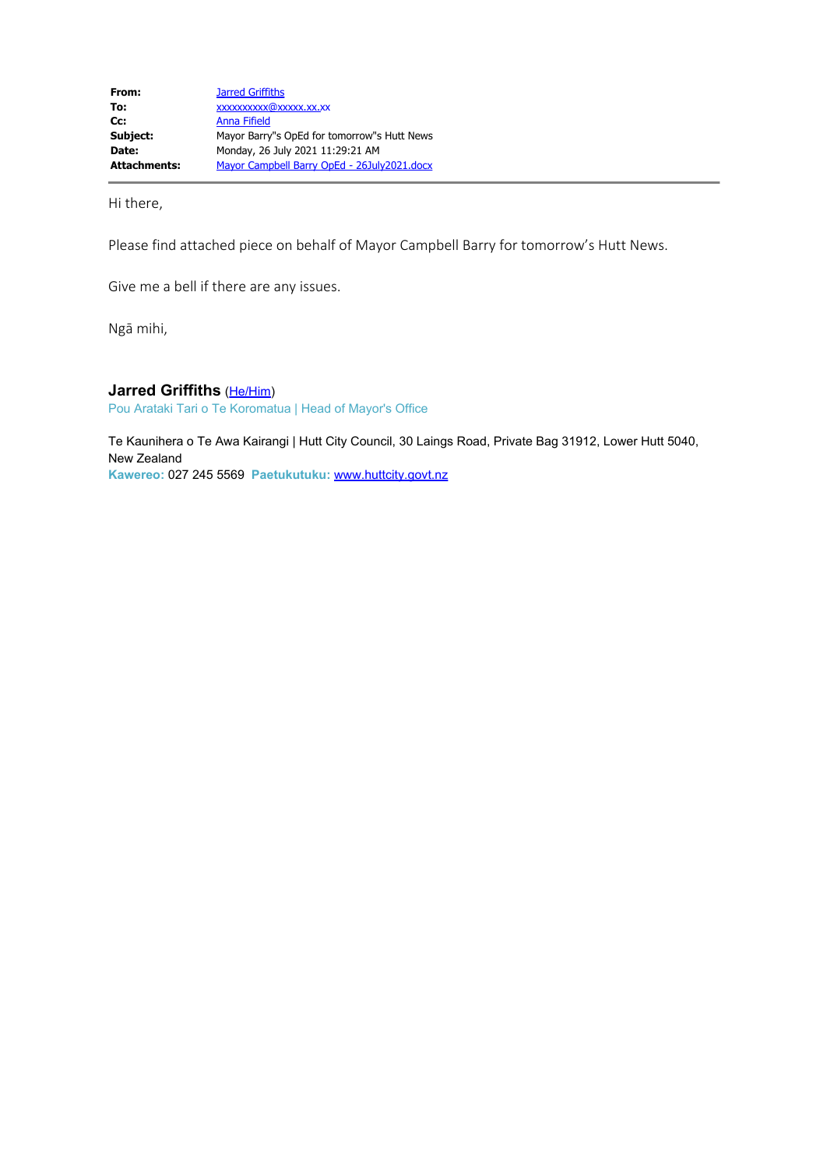Hi there,

Please find attached piece on behalf of Mayor Campbell Barry for tomorrow's Hutt News.

Give me a bell if there are any issues.

Ngā mihi,

## **Jarred Griffiths** (He/Him)

Pou Arataki Tari o Te Koromatua | Head of Mayor's Office

Te Kaunihera o Te Awa Kairangi | Hutt City Council, 30 Laings Road, Private Bag 31912, Lower Hutt 5040, New Zealand **Kawereo:** 027 245 5569 **Paetukutuku:** www.huttcity.govt.nz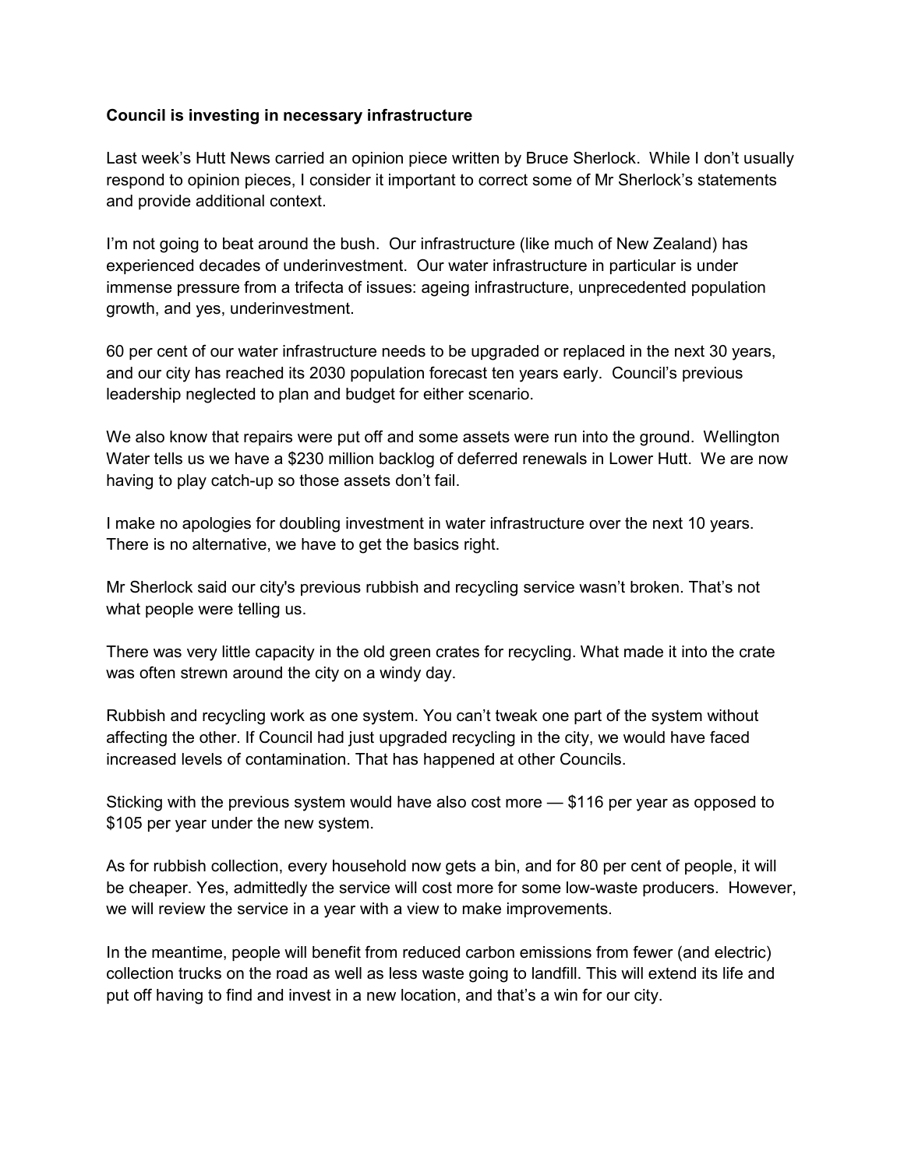# **Council is investing in necessary infrastructure**

Last week's Hutt News carried an opinion piece written by Bruce Sherlock. While I don't usually respond to opinion pieces, I consider it important to correct some of Mr Sherlock's statements and provide additional context.

I'm not going to beat around the bush. Our infrastructure (like much of New Zealand) has experienced decades of underinvestment. Our water infrastructure in particular is under immense pressure from a trifecta of issues: ageing infrastructure, unprecedented population growth, and yes, underinvestment.

60 per cent of our water infrastructure needs to be upgraded or replaced in the next 30 years, and our city has reached its 2030 population forecast ten years early. Council's previous leadership neglected to plan and budget for either scenario.

We also know that repairs were put off and some assets were run into the ground. Wellington Water tells us we have a \$230 million backlog of deferred renewals in Lower Hutt. We are now having to play catch-up so those assets don't fail.

I make no apologies for doubling investment in water infrastructure over the next 10 years. There is no alternative, we have to get the basics right.

Mr Sherlock said our city's previous rubbish and recycling service wasn't broken. That's not what people were telling us.

There was very little capacity in the old green crates for recycling. What made it into the crate was often strewn around the city on a windy day.

Rubbish and recycling work as one system. You can't tweak one part of the system without affecting the other. If Council had just upgraded recycling in the city, we would have faced increased levels of contamination. That has happened at other Councils.

Sticking with the previous system would have also cost more — \$116 per year as opposed to \$105 per year under the new system.

As for rubbish collection, every household now gets a bin, and for 80 per cent of people, it will be cheaper. Yes, admittedly the service will cost more for some low-waste producers. However, we will review the service in a year with a view to make improvements.

In the meantime, people will benefit from reduced carbon emissions from fewer (and electric) collection trucks on the road as well as less waste going to landfill. This will extend its life and put off having to find and invest in a new location, and that's a win for our city.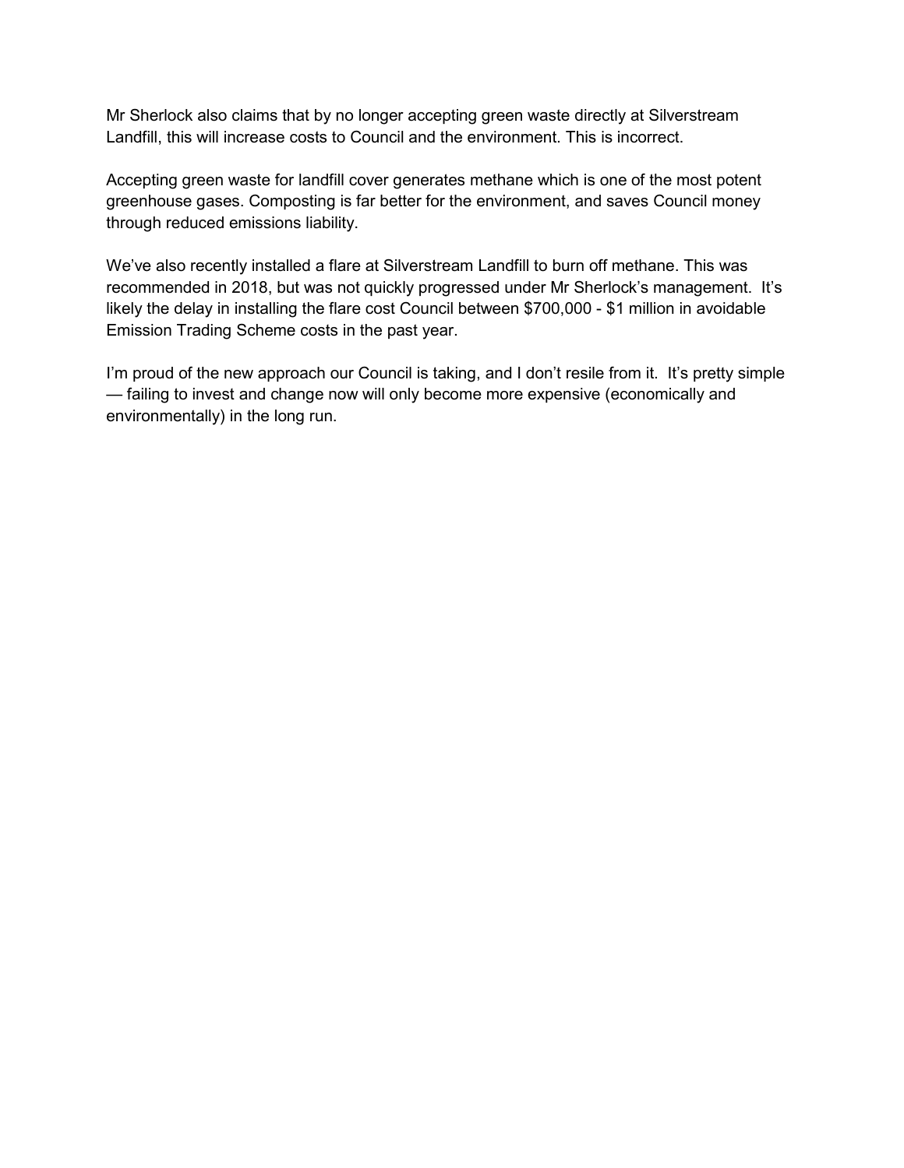Mr Sherlock also claims that by no longer accepting green waste directly at Silverstream Landfill, this will increase costs to Council and the environment. This is incorrect.

Accepting green waste for landfill cover generates methane which is one of the most potent greenhouse gases. Composting is far better for the environment, and saves Council money through reduced emissions liability.

We've also recently installed a flare at Silverstream Landfill to burn off methane. This was recommended in 2018, but was not quickly progressed under Mr Sherlock's management. It's likely the delay in installing the flare cost Council between \$700,000 - \$1 million in avoidable Emission Trading Scheme costs in the past year.

I'm proud of the new approach our Council is taking, and I don't resile from it. It's pretty simple — failing to invest and change now will only become more expensive (economically and environmentally) in the long run.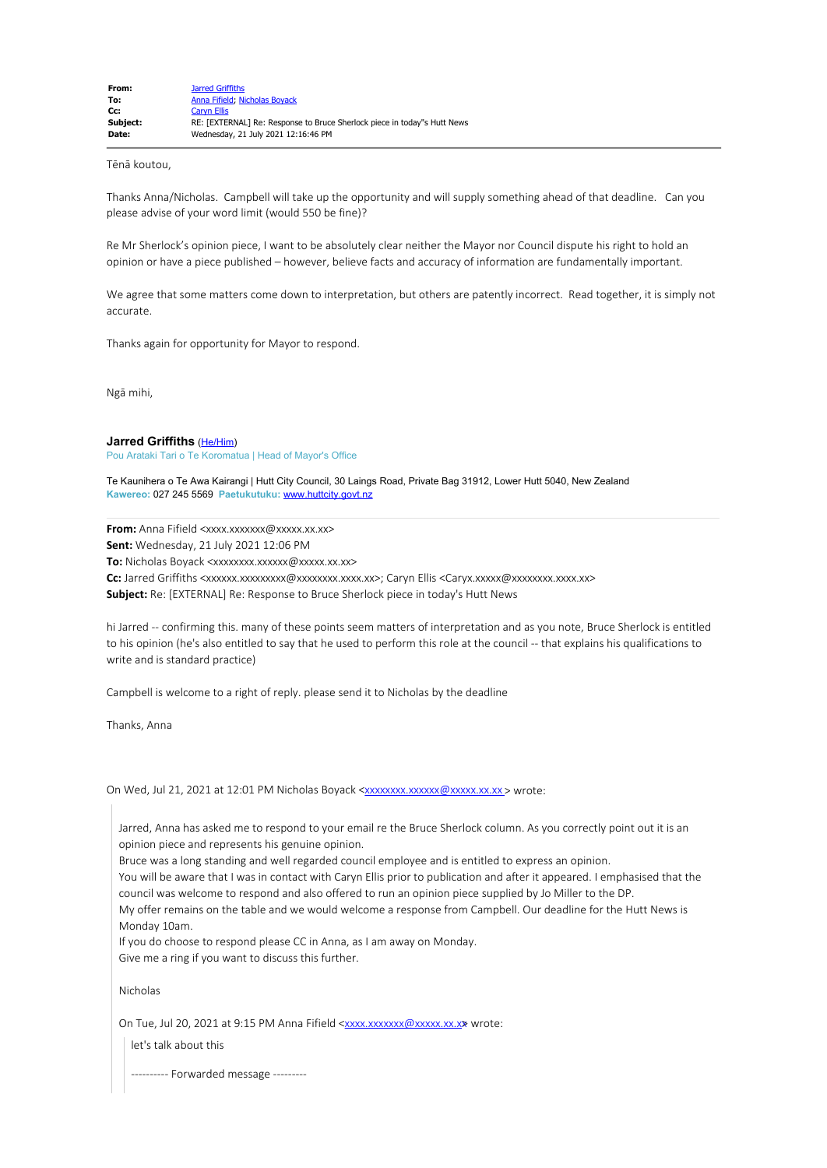Tēnā koutou,

Thanks Anna/Nicholas. Campbell will take up the opportunity and will supply something ahead of that deadline. Can you please advise of your word limit (would 550 be fine)?

Re Mr Sherlock's opinion piece, I want to be absolutely clear neither the Mayor nor Council dispute his right to hold an opinion or have a piece published – however, believe facts and accuracy of information are fundamentally important.

We agree that some matters come down to interpretation, but others are patently incorrect. Read together, it is simply not accurate.

Thanks again for opportunity for Mayor to respond.

Ngā mihi,

### **Jarred Griffiths** (He/Him)

Pou Arataki Tari o Te Koromatua | Head of Mayor's Office

Te Kaunihera o Te Awa Kairangi | Hutt City Council, 30 Laings Road, Private Bag 31912, Lower Hutt 5040, New Zealand **Kawereo:** 027 245 5569 **Paetukutuku:** www.huttcity.govt.nz

**From:** Anna Fifield <xxxx.xxxxxxx@xxxxx.xx.xx>

**Sent:** Wednesday, 21 July 2021 12:06 PM

**To:** Nicholas Boyack <xxxxxxx.xxxxxx@xxxxx.xx.xx>

Cc: Jarred Griffiths <xxxxxx.xxxxxxxx @xxxxxxxx.xxx.xxx,xx>; Caryn Ellis <Caryx.xxxxxx @xxxxxxxx.xxx.xxx.xx

**Subject:** Re: [EXTERNAL] Re: Response to Bruce Sherlock piece in today's Hutt News

hi Jarred -- confirming this. many of these points seem matters of interpretation and as you note, Bruce Sherlock is entitled to his opinion (he's also entitled to say that he used to perform this role at the council -- that explains his qualifications to write and is standard practice)

Campbell is welcome to a right of reply. please send it to Nicholas by the deadline

Thanks, Anna

On Wed, Jul 21, 2021 at 12:01 PM Nicholas Boyack <xxxxxxxxxxxxxxxxxxxxxxxxx > wrote:

Jarred, Anna has asked me to respond to your email re the Bruce Sherlock column. As you correctly point out it is an opinion piece and represents his genuine opinion.

Bruce was a long standing and well regarded council employee and is entitled to express an opinion.

You will be aware that I was in contact with Caryn Ellis prior to publication and after it appeared. I emphasised that the council was welcome to respond and also offered to run an opinion piece supplied by Jo Miller to the DP.

My offer remains on the table and we would welcome a response from Campbell. Our deadline for the Hutt News is Monday 10am.

If you do choose to respond please CC in Anna, as I am away on Monday. Give me a ring if you want to discuss this further.

Nicholas

On Tue, Jul 20, 2021 at 9:15 PM Anna Fifield <xxxx.xxxxxxx@xxxxx.xx.xx wrote:

let's talk about this

----- Forwarded message ---------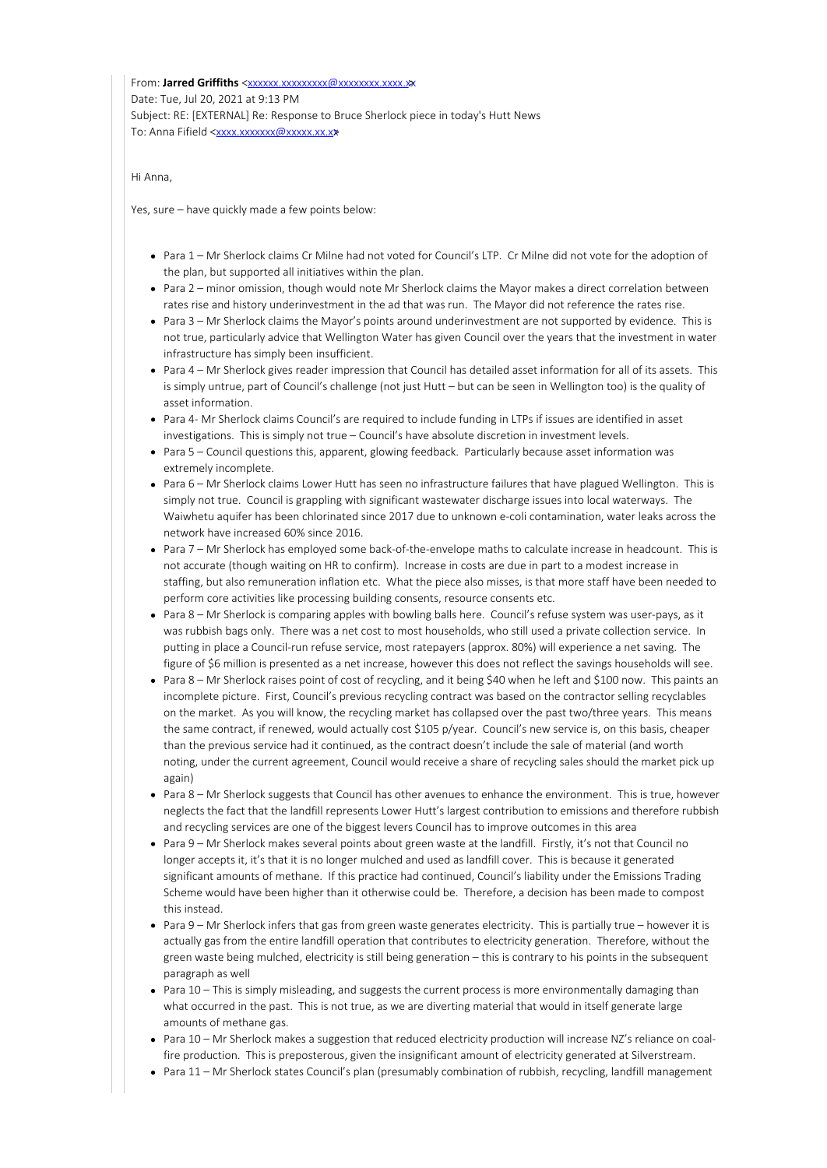From: **Jarred Griffiths** <xxxxxx.xxxxxxxxx@xxxxxxxx.xxx.xxx.xxx Date: Tue, Jul 20, 2021 at 9:13 PM Subject: RE: [EXTERNAL] Re: Response to Bruce Sherlock piece in today's Hutt News To: Anna Fifield <xxxx.xxxxxxx@xxxxx.xx.x

Hi Anna,

Yes, sure – have quickly made a few points below:

- Para 1 Mr Sherlock claims Cr Milne had not voted for Council's LTP. Cr Milne did not vote for the adoption of the plan, but supported all initiatives within the plan.
- Para 2 minor omission, though would note Mr Sherlock claims the Mayor makes a direct correlation between rates rise and history underinvestment in the ad that was run. The Mayor did not reference the rates rise.
- Para 3 Mr Sherlock claims the Mayor's points around underinvestment are not supported by evidence. This is not true, particularly advice that Wellington Water has given Council over the years that the investment in water infrastructure has simply been insufficient.
- Para 4 Mr Sherlock gives reader impression that Council has detailed asset information for all of its assets. This is simply untrue, part of Council's challenge (not just Hutt – but can be seen in Wellington too) is the quality of asset information.
- Para 4- Mr Sherlock claims Council's are required to include funding in LTPs if issues are identified in asset investigations. This is simply not true – Council's have absolute discretion in investment levels.
- Para 5 Council questions this, apparent, glowing feedback. Particularly because asset information was extremely incomplete.
- Para 6 Mr Sherlock claims Lower Hutt has seen no infrastructure failures that have plagued Wellington. This is simply not true. Council is grappling with significant wastewater discharge issues into local waterways. The Waiwhetu aquifer has been chlorinated since 2017 due to unknown e-coli contamination, water leaks across the network have increased 60% since 2016.
- Para 7 Mr Sherlock has employed some back-of-the-envelope maths to calculate increase in headcount. This is not accurate (though waiting on HR to confirm). Increase in costs are due in part to a modest increase in staffing, but also remuneration inflation etc. What the piece also misses, is that more staff have been needed to perform core activities like processing building consents, resource consents etc.
- Para 8 Mr Sherlock is comparing apples with bowling balls here. Council's refuse system was user-pays, as it was rubbish bags only. There was a net cost to most households, who still used a private collection service. In putting in place a Council-run refuse service, most ratepayers (approx. 80%) will experience a net saving. The figure of \$6 million is presented as a net increase, however this does not reflect the savings households will see.
- Para 8 Mr Sherlock raises point of cost of recycling, and it being \$40 when he left and \$100 now. This paints an incomplete picture. First, Council's previous recycling contract was based on the contractor selling recyclables on the market. As you will know, the recycling market has collapsed over the past two/three years. This means the same contract, if renewed, would actually cost \$105 p/year. Council's new service is, on this basis, cheaper than the previous service had it continued, as the contract doesn't include the sale of material (and worth noting, under the current agreement, Council would receive a share of recycling sales should the market pick up again)
- Para 8 Mr Sherlock suggests that Council has other avenues to enhance the environment. This is true, however neglects the fact that the landfill represents Lower Hutt's largest contribution to emissions and therefore rubbish and recycling services are one of the biggest levers Council has to improve outcomes in this area
- Para 9 Mr Sherlock makes several points about green waste at the landfill. Firstly, it's not that Council no longer accepts it, it's that it is no longer mulched and used as landfill cover. This is because it generated significant amounts of methane. If this practice had continued, Council's liability under the Emissions Trading Scheme would have been higher than it otherwise could be. Therefore, a decision has been made to compost this instead.
- Para 9 Mr Sherlock infers that gas from green waste generates electricity. This is partially true however it is actually gas from the entire landfill operation that contributes to electricity generation. Therefore, without the green waste being mulched, electricity is still being generation – this is contrary to his points in the subsequent paragraph as well
- Para 10 This is simply misleading, and suggests the current process is more environmentally damaging than what occurred in the past. This is not true, as we are diverting material that would in itself generate large amounts of methane gas.
- Para 10 Mr Sherlock makes a suggestion that reduced electricity production will increase NZ's reliance on coalfire production. This is preposterous, given the insignificant amount of electricity generated at Silverstream.
- Para 11 Mr Sherlock states Council's plan (presumably combination of rubbish, recycling, landfill management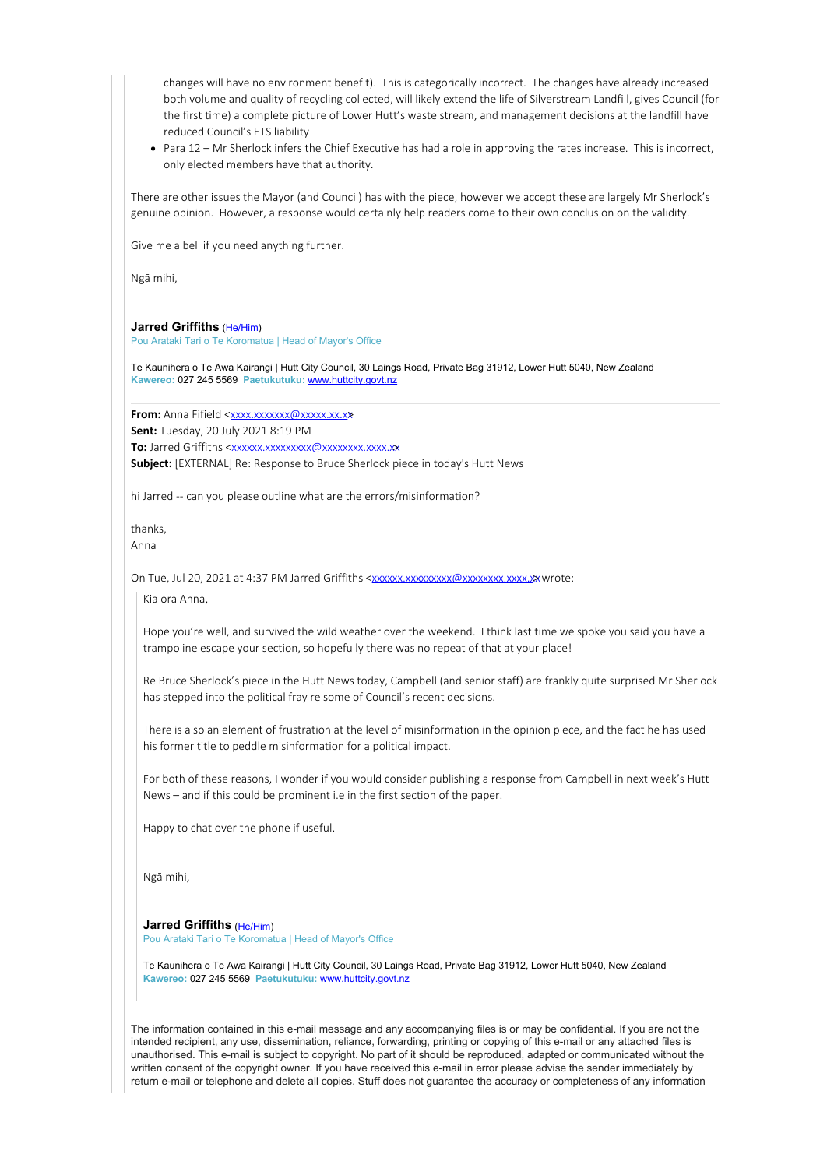changes will have no environment benefit). This is categorically incorrect. The changes have already increased both volume and quality of recycling collected, will likely extend the life of Silverstream Landfill, gives Council (for the first time) a complete picture of Lower Hutt's waste stream, and management decisions at the landfill have reduced Council's ETS liability

Para 12 – Mr Sherlock infers the Chief Executive has had a role in approving the rates increase. This is incorrect, only elected members have that authority.

There are other issues the Mayor (and Council) has with the piece, however we accept these are largely Mr Sherlock's genuine opinion. However, a response would certainly help readers come to their own conclusion on the validity.

Give me a bell if you need anything further.

Ngā mihi,

#### **Jarred Griffiths** (He/Him)

Pou Arataki Tari o Te Koromatua | Head of Mayor's Office

Te Kaunihera o Te Awa Kairangi | Hutt City Council, 30 Laings Road, Private Bag 31912, Lower Hutt 5040, New Zealand **Kawereo:** 027 245 5569 **Paetukutuku:** www.huttcity.govt.nz

**From:** Anna Fifield <xxxx.xxxxxxx@xxxxx.xx.x

**Sent:** Tuesday, 20 July 2021 8:19 PM

**To:** Jarred Griffiths <xxxxxx.xxxxxxxxx@xxxxxxxx.xxx.xx

**Subject:** [EXTERNAL] Re: Response to Bruce Sherlock piece in today's Hutt News

hi Jarred -- can you please outline what are the errors/misinformation?

thanks,

Anna

On Tue, Jul 20, 2021 at 4:37 PM Jarred Griffiths <xxxxxxxxxxxxxxxxxxxxxxxxxxxxxx wrote:

Kia ora Anna,

Hope you're well, and survived the wild weather over the weekend. I think last time we spoke you said you have a trampoline escape your section, so hopefully there was no repeat of that at your place!

Re Bruce Sherlock's piece in the Hutt News today, Campbell (and senior staff) are frankly quite surprised Mr Sherlock has stepped into the political fray re some of Council's recent decisions.

There is also an element of frustration at the level of misinformation in the opinion piece, and the fact he has used his former title to peddle misinformation for a political impact.

For both of these reasons, I wonder if you would consider publishing a response from Campbell in next week's Hutt News – and if this could be prominent i.e in the first section of the paper.

Happy to chat over the phone if useful.

Ngā mihi,

**Jarred Griffiths** (He/Him)

Pou Arataki Tari o Te Koromatua | Head of Mayor's Office

Te Kaunihera o Te Awa Kairangi | Hutt City Council, 30 Laings Road, Private Bag 31912, Lower Hutt 5040, New Zealand **Kawereo:** 027 245 5569 **Paetukutuku:** www.huttcity.govt.nz

The information contained in this e-mail message and any accompanying files is or may be confidential. If you are not the intended recipient, any use, dissemination, reliance, forwarding, printing or copying of this e-mail or any attached files is unauthorised. This e-mail is subject to copyright. No part of it should be reproduced, adapted or communicated without the written consent of the copyright owner. If you have received this e-mail in error please advise the sender immediately by return e-mail or telephone and delete all copies. Stuff does not guarantee the accuracy or completeness of any information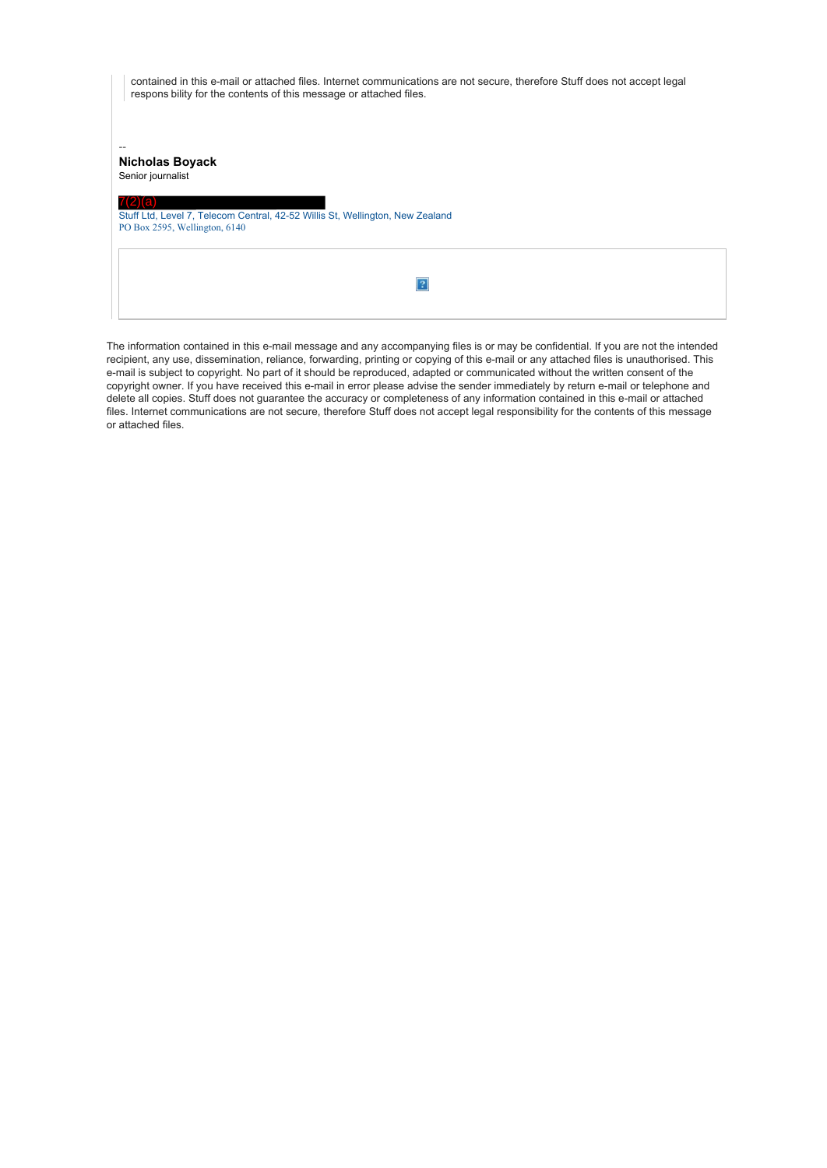| contained in this e-mail or attached files. Internet communications are not secure, therefore Stuff does not accept legal<br>respons bility for the contents of this message or attached files. |
|-------------------------------------------------------------------------------------------------------------------------------------------------------------------------------------------------|
| <b>Nicholas Boyack</b><br>Senior journalist                                                                                                                                                     |
| Stuff Ltd, Level 7, Telecom Central, 42-52 Willis St, Wellington, New Zealand<br>PO Box 2595, Wellington, 6140                                                                                  |
|                                                                                                                                                                                                 |

The information contained in this e-mail message and any accompanying files is or may be confidential. If you are not the intended recipient, any use, dissemination, reliance, forwarding, printing or copying of this e-mail or any attached files is unauthorised. This e-mail is subject to copyright. No part of it should be reproduced, adapted or communicated without the written consent of the copyright owner. If you have received this e-mail in error please advise the sender immediately by return e-mail or telephone and delete all copies. Stuff does not guarantee the accuracy or completeness of any information contained in this e-mail or attached files. Internet communications are not secure, therefore Stuff does not accept legal responsibility for the contents of this message or attached files.